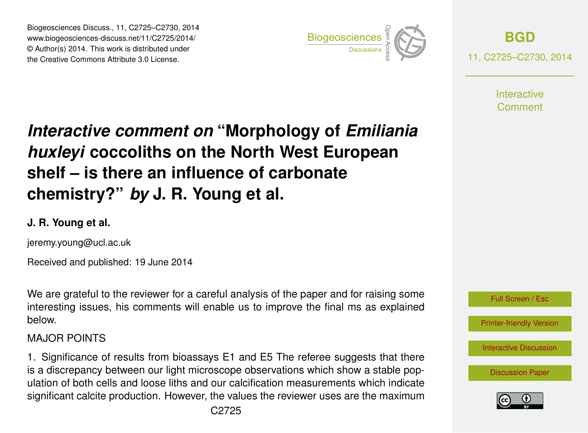Biogeosciences Discuss., 11, C2725–C2730, 2014 www.biogeosciences-discuss.net/11/C2725/2014/ © Author(s) 2014. This work is distributed under Biogeosciences Discuss., 11, C2725–C2730, 2014<br>www.biogeosciences-discuss.net/11/C2725/2014/<br>© Author(s) 2014. This work is distributed under<br>the Creative Commons Attribute 3.0 License.



**[BGD](http://www.biogeosciences-discuss.net)** 11, C2725–C2730, 2014

> **Interactive** Comment

# *Interactive comment on* **"Morphology of** *Emiliania huxleyi* **coccoliths on the North West European shelf – is there an influence of carbonate chemistry?"** *by* **J. R. Young et al.**

## **J. R. Young et al.**

jeremy.young@ucl.ac.uk

Received and published: 19 June 2014

We are grateful to the reviewer for a careful analysis of the paper and for raising some interesting issues, his comments will enable us to improve the final ms as explained below.

#### MAJOR POINTS

1. Significance of results from bioassays E1 and E5 The referee suggests that there is a discrepancy between our light microscope observations which show a stable population of both cells and loose liths and our calcification measurements which indicate significant calcite production. However, the values the reviewer uses are the maximum



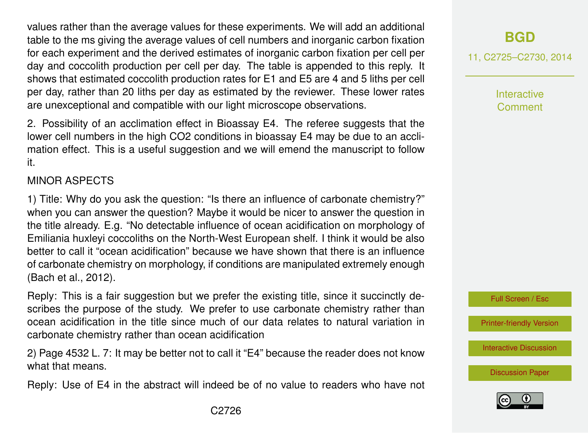values rather than the average values for these experiments. We will add an additional table to the ms giving the average values of cell numbers and inorganic carbon fixation for each experiment and the derived estimates of inorganic carbon fixation per cell per day and coccolith production per cell per day. The table is appended to this reply. It shows that estimated coccolith production rates for E1 and E5 are 4 and 5 liths per cell per day, rather than 20 liths per day as estimated by the reviewer. These lower rates are unexceptional and compatible with our light microscope observations.

2. Possibility of an acclimation effect in Bioassay E4. The referee suggests that the lower cell numbers in the high CO2 conditions in bioassay E4 may be due to an acclimation effect. This is a useful suggestion and we will emend the manuscript to follow it.

#### MINOR ASPECTS

1) Title: Why do you ask the question: "Is there an influence of carbonate chemistry?" when you can answer the question? Maybe it would be nicer to answer the question in the title already. E.g. "No detectable influence of ocean acidification on morphology of Emiliania huxleyi coccoliths on the North-West European shelf. I think it would be also better to call it "ocean acidification" because we have shown that there is an influence of carbonate chemistry on morphology, if conditions are manipulated extremely enough (Bach et al., 2012).

Reply: This is a fair suggestion but we prefer the existing title, since it succinctly describes the purpose of the study. We prefer to use carbonate chemistry rather than ocean acidification in the title since much of our data relates to natural variation in carbonate chemistry rather than ocean acidification

2) Page 4532 L. 7: It may be better not to call it "E4" because the reader does not know what that means.

Reply: Use of E4 in the abstract will indeed be of no value to readers who have not

# **[BGD](http://www.biogeosciences-discuss.net)**

11, C2725–C2730, 2014

Interactive Comment



[Printer-friendly Version](http://www.biogeosciences-discuss.net/11/C2725/2014/bgd-11-C2725-2014-print.pdf)

[Interactive Discussion](http://www.biogeosciences-discuss.net/11/4531/2014/bgd-11-4531-2014-discussion.html)

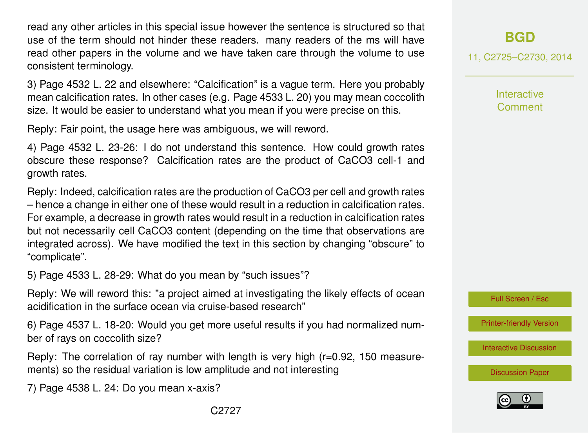read any other articles in this special issue however the sentence is structured so that use of the term should not hinder these readers. many readers of the ms will have read other papers in the volume and we have taken care through the volume to use consistent terminology.

3) Page 4532 L. 22 and elsewhere: "Calcification" is a vague term. Here you probably mean calcification rates. In other cases (e.g. Page 4533 L. 20) you may mean coccolith size. It would be easier to understand what you mean if you were precise on this.

Reply: Fair point, the usage here was ambiguous, we will reword.

4) Page 4532 L. 23-26: I do not understand this sentence. How could growth rates obscure these response? Calcification rates are the product of CaCO3 cell-1 and growth rates.

Reply: Indeed, calcification rates are the production of CaCO3 per cell and growth rates – hence a change in either one of these would result in a reduction in calcification rates. For example, a decrease in growth rates would result in a reduction in calcification rates but not necessarily cell CaCO3 content (depending on the time that observations are integrated across). We have modified the text in this section by changing "obscure" to "complicate".

5) Page 4533 L. 28-29: What do you mean by "such issues"?

Reply: We will reword this: "a project aimed at investigating the likely effects of ocean acidification in the surface ocean via cruise-based research"

6) Page 4537 L. 18-20: Would you get more useful results if you had normalized number of rays on coccolith size?

Reply: The correlation of ray number with length is very high (r=0.92, 150 measurements) so the residual variation is low amplitude and not interesting

7) Page 4538 L. 24: Do you mean x-axis?

11, C2725–C2730, 2014

**Interactive Comment** 

Full Screen / Esc

[Printer-friendly Version](http://www.biogeosciences-discuss.net/11/C2725/2014/bgd-11-C2725-2014-print.pdf)

[Interactive Discussion](http://www.biogeosciences-discuss.net/11/4531/2014/bgd-11-4531-2014-discussion.html)

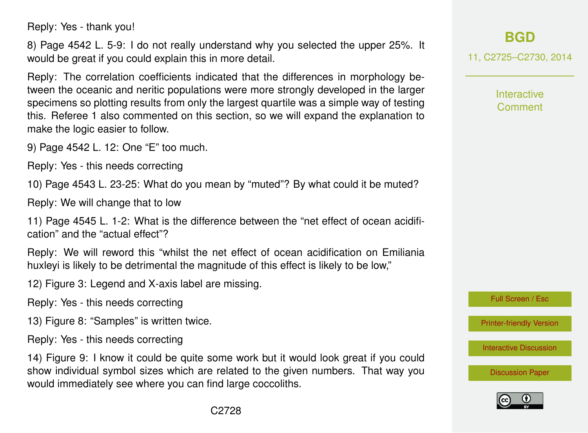Reply: Yes - thank you!

8) Page 4542 L. 5-9: I do not really understand why you selected the upper 25%. It would be great if you could explain this in more detail.

Reply: The correlation coefficients indicated that the differences in morphology between the oceanic and neritic populations were more strongly developed in the larger specimens so plotting results from only the largest quartile was a simple way of testing this. Referee 1 also commented on this section, so we will expand the explanation to make the logic easier to follow.

9) Page 4542 L. 12: One "E" too much.

Reply: Yes - this needs correcting

10) Page 4543 L. 23-25: What do you mean by "muted"? By what could it be muted?

Reply: We will change that to low

11) Page 4545 L. 1-2: What is the difference between the "net effect of ocean acidification" and the "actual effect"?

Reply: We will reword this "whilst the net effect of ocean acidification on Emiliania huxlevi is likely to be detrimental the magnitude of this effect is likely to be low,"

12) Figure 3: Legend and X-axis label are missing.

Reply: Yes - this needs correcting

13) Figure 8: "Samples" is written twice.

Reply: Yes - this needs correcting

14) Figure 9: I know it could be quite some work but it would look great if you could show individual symbol sizes which are related to the given numbers. That way you would immediately see where you can find large coccoliths.

# **[BGD](http://www.biogeosciences-discuss.net)**

11, C2725–C2730, 2014

Interactive Comment

Full Screen / Esc

[Printer-friendly Version](http://www.biogeosciences-discuss.net/11/C2725/2014/bgd-11-C2725-2014-print.pdf)

[Interactive Discussion](http://www.biogeosciences-discuss.net/11/4531/2014/bgd-11-4531-2014-discussion.html)

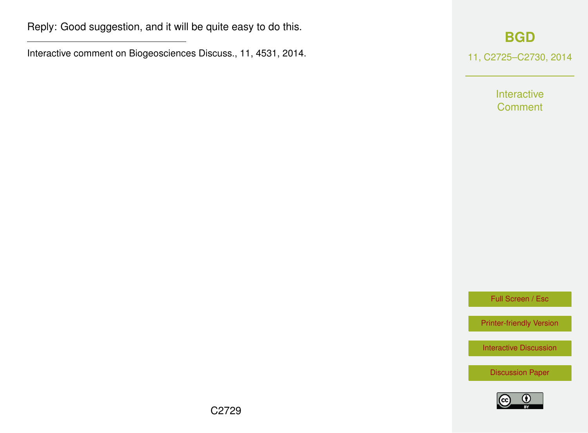Reply: Good suggestion, and it will be quite easy to do this.

Interactive comment on Biogeosciences Discuss., 11, 4531, 2014.

### **[BGD](http://www.biogeosciences-discuss.net)**

11, C2725–C2730, 2014

Interactive **Comment** 

Full Screen / Esc

[Printer-friendly Version](http://www.biogeosciences-discuss.net/11/C2725/2014/bgd-11-C2725-2014-print.pdf)

[Interactive Discussion](http://www.biogeosciences-discuss.net/11/4531/2014/bgd-11-4531-2014-discussion.html)